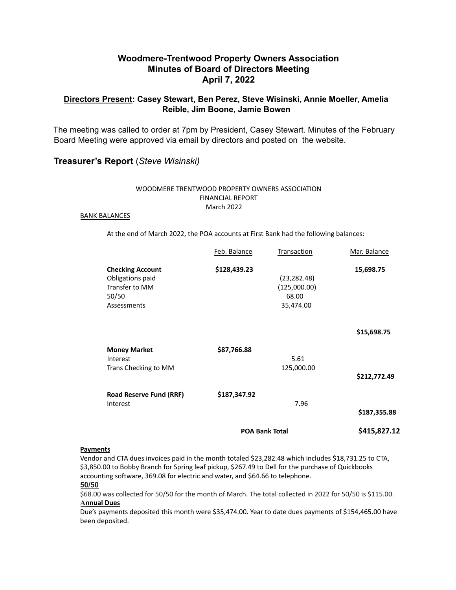# **Woodmere-Trentwood Property Owners Association Minutes of Board of Directors Meeting April 7, 2022**

## **Directors Present: Casey Stewart, Ben Perez, Steve Wisinski, Annie Moeller, Amelia Reible, Jim Boone, Jamie Bowen**

The meeting was called to order at 7pm by President, Casey Stewart. Minutes of the February Board Meeting were approved via email by directors and posted on the website.

## **Treasurer's Report** (*Steve Wisinski)*

### WOODMERE TRENTWOOD PROPERTY OWNERS ASSOCIATION FINANCIAL REPORT March 2022

#### BANK BALANCES

At the end of March 2022, the POA accounts at First Bank had the following balances:

|                                                                                       | <b>POA Bank Total</b> |                                                    | \$415,827.12             |
|---------------------------------------------------------------------------------------|-----------------------|----------------------------------------------------|--------------------------|
| <b>Road Reserve Fund (RRF)</b><br>Interest                                            | \$187,347.92          | 7.96                                               | \$187,355.88             |
| <b>Money Market</b><br>Interest<br>Trans Checking to MM                               | \$87,766.88           | 5.61<br>125,000.00                                 | \$212,772.49             |
| <b>Checking Account</b><br>Obligations paid<br>Transfer to MM<br>50/50<br>Assessments | \$128,439.23          | (23, 282.48)<br>(125,000.00)<br>68.00<br>35,474.00 | 15,698.75<br>\$15,698.75 |
|                                                                                       | Feb. Balance          | Transaction                                        | Mar. Balance             |

#### **Payments**

Vendor and CTA dues invoices paid in the month totaled \$23,282.48 which includes \$18,731.25 to CTA, \$3,850.00 to Bobby Branch for Spring leaf pickup, \$267.49 to Dell for the purchase of Quickbooks accounting software, 369.08 for electric and water, and \$64.66 to telephone.

#### **50/50**

\$68.00 was collected for 50/50 for the month of March. The total collected in 2022 for 50/50 is \$115.00. **Annual Dues**

Due's payments deposited this month were \$35,474.00. Year to date dues payments of \$154,465.00 have been deposited.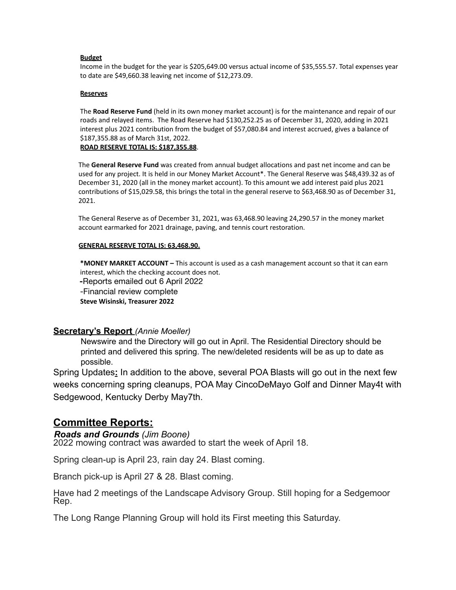### **Budget**

Income in the budget for the year is \$205,649.00 versus actual income of \$35,555.57. Total expenses year to date are \$49,660.38 leaving net income of \$12,273.09.

#### **Reserves**

The **Road Reserve Fund** (held in its own money market account) is for the maintenance and repair of our roads and relayed items. The Road Reserve had \$130,252.25 as of December 31, 2020, adding in 2021 interest plus 2021 contribution from the budget of \$57,080.84 and interest accrued, gives a balance of \$187,355.88 as of March 31st, 2022.

**ROAD RESERVE TOTAL IS: \$187,355.88**.

The **General Reserve Fund** was created from annual budget allocations and past net income and can be used for any project. It is held in our Money Market Account\*. The General Reserve was \$48,439.32 as of December 31, 2020 (all in the money market account). To this amount we add interest paid plus 2021 contributions of \$15,029.58, this brings the total in the general reserve to \$63,468.90 as of December 31, 2021.

The General Reserve as of December 31, 2021, was 63,468.90 leaving 24,290.57 in the money market account earmarked for 2021 drainage, paving, and tennis court restoration.

### **GENERAL RESERVE TOTAL IS: 63,468.90.**

**\*MONEY MARKET ACCOUNT –** This account is used as a cash management account so that it can earn interest, which the checking account does not.

**-**Reports emailed out 6 April 2022

-Financial review complete

**Steve Wisinski, Treasurer 2022**

### **Secretary's Report** *(Annie Moeller)*

Newswire and the Directory will go out in April. The Residential Directory should be printed and delivered this spring. The new/deleted residents will be as up to date as possible.

Spring Updates**:** In addition to the above, several POA Blasts will go out in the next few weeks concerning spring cleanups, POA May CincoDeMayo Golf and Dinner May4t with Sedgewood, Kentucky Derby May7th.

# **Committee Reports:**

## *Roads and Grounds (Jim Boone)*

2022 mowing contract was awarded to start the week of April 18.

Spring clean-up is April 23, rain day 24. Blast coming.

Branch pick-up is April 27 & 28. Blast coming.

Have had 2 meetings of the Landscape Advisory Group. Still hoping for a Sedgemoor Rep.

The Long Range Planning Group will hold its First meeting this Saturday.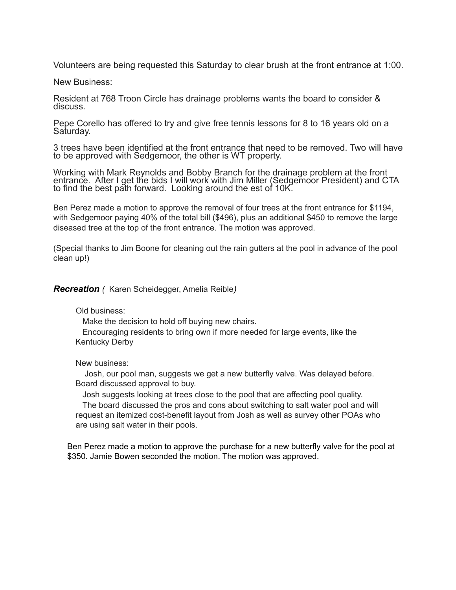Volunteers are being requested this Saturday to clear brush at the front entrance at 1:00.

New Business:

Resident at 768 Troon Circle has drainage problems wants the board to consider & discuss.

Pepe Corello has offered to try and give free tennis lessons for 8 to 16 years old on a Saturday.

3 trees have been identified at the front entrance that need to be removed. Two will have to be approved with Sedgemoor, the other is WT property.

Working with Mark Reynolds and Bobby Branch for the drainage problem at the front entrance. After I get the bids I will work with Jim Miller (Sedgemoor President) and CTA to find the best path forward. Looking around the est of 10K.

Ben Perez made a motion to approve the removal of four trees at the front entrance for \$1194, with Sedgemoor paying 40% of the total bill (\$496), plus an additional \$450 to remove the large diseased tree at the top of the front entrance. The motion was approved.

(Special thanks to Jim Boone for cleaning out the rain gutters at the pool in advance of the pool clean up!)

*Recreation (* Karen Scheidegger, Amelia Reible*)*

Old business:

Make the decision to hold off buying new chairs.

Encouraging residents to bring own if more needed for large events, like the Kentucky Derby

New business:

Josh, our pool man, suggests we get a new butterfly valve. Was delayed before. Board discussed approval to buy.

Josh suggests looking at trees close to the pool that are affecting pool quality.

The board discussed the pros and cons about switching to salt water pool and will request an itemized cost-benefit layout from Josh as well as survey other POAs who are using salt water in their pools.

Ben Perez made a motion to approve the purchase for a new butterfly valve for the pool at \$350. Jamie Bowen seconded the motion. The motion was approved.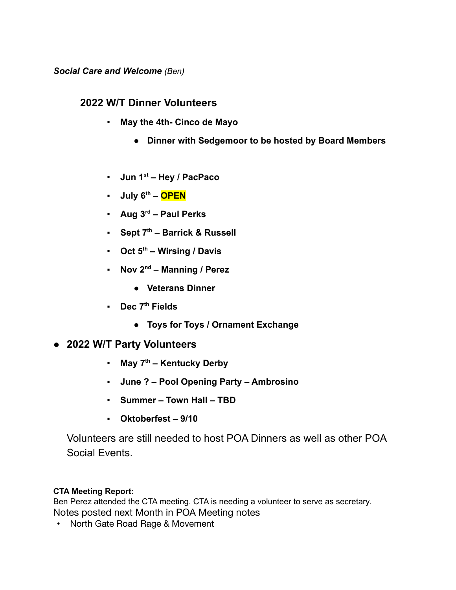*Social Care and Welcome (Ben)*

# **2022 W/T Dinner Volunteers**

- **May the 4th- Cinco de Mayo**
	- **Dinner with Sedgemoor to be hosted by Board Members**
- **Jun 1st Hey / PacPaco**
- **July 6th – OPEN**
- **Aug 3rd Paul Perks**
- **Sept 7th Barrick & Russell**
- **Oct 5th Wirsing / Davis**
- **Nov 2nd Manning / Perez**
	- **Veterans Dinner**
- **Dec 7th Fields**
	- **Toys for Toys / Ornament Exchange**
- **2022 W/T Party Volunteers**
	- **May 7th Kentucky Derby**
	- **June ? Pool Opening Party Ambrosino**
	- **Summer Town Hall TBD**
	- **Oktoberfest 9/10**

Volunteers are still needed to host POA Dinners as well as other POA Social Events.

## **CTA Meeting Report:**

Ben Perez attended the CTA meeting. CTA is needing a volunteer to serve as secretary. Notes posted next Month in POA Meeting notes

• North Gate Road Rage & Movement